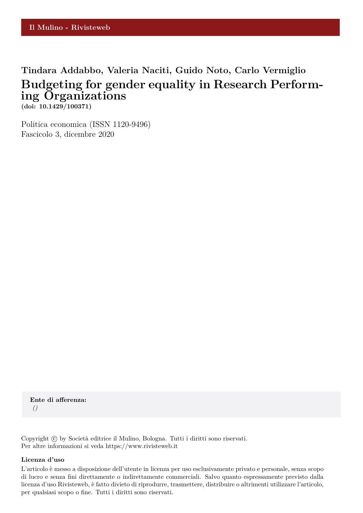# **Tindara Addabbo, Valeria Naciti, Guido Noto, Carlo Vermiglio Budgeting for gender equality in Research Performing Organizations**

**(doi: 10.1429/100371)**

Politica economica (ISSN 1120-9496) Fascicolo 3, dicembre 2020

**Ente di afferenza:** *()*

Copyright © by Società editrice il Mulino, Bologna. Tutti i diritti sono riservati. Per altre informazioni si veda https://www.rivisteweb.it

# **Licenza d'uso**

L'articolo è messo a disposizione dell'utente in licenza per uso esclusivamente privato e personale, senza scopo di lucro e senza fini direttamente o indirettamente commerciali. Salvo quanto espressamente previsto dalla licenza d'uso Rivisteweb, è fatto divieto di riprodurre, trasmettere, distribuire o altrimenti utilizzare l'articolo, per qualsiasi scopo o fine. Tutti i diritti sono riservati.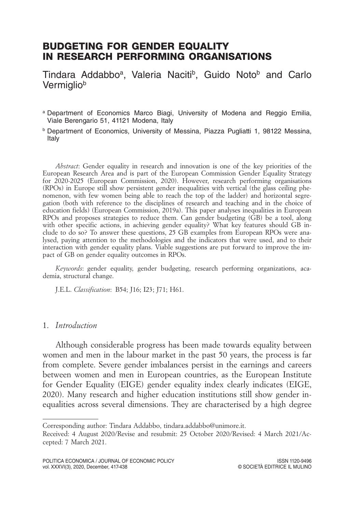# BUDGETING FOR GENDER EQUALITY IN RESEARCH PERFORMING ORGANISATIONS

Tindara Addabbo<sup>a</sup>, Valeria Naciti<sup>b</sup>, Guido Noto<sup>b</sup> and Carlo **Vermigliob** 

- a Department of Economics Marco Biagi, University of Modena and Reggio Emilia, Viale Berengario 51, 41121 Modena, Italy
- b Department of Economics, University of Messina, Piazza Pugliatti 1, 98122 Messina, Italy

*Abstract*: Gender equality in research and innovation is one of the key priorities of the European Research Area and is part of the European Commission Gender Equality Strategy for 2020-2025 (European Commission, 2020). However, research performing organisations (RPOs) in Europe still show persistent gender inequalities with vertical (the glass ceiling phenomenon, with few women being able to reach the top of the ladder) and horizontal segregation (both with reference to the disciplines of research and teaching and in the choice of education fields) (European Commission, 2019a). This paper analyses inequalities in European RPOs and proposes strategies to reduce them. Can gender budgeting (GB) be a tool, along with other specific actions, in achieving gender equality? What key features should GB include to do so? To answer these questions, 25 GB examples from European RPOs were analysed, paying attention to the methodologies and the indicators that were used, and to their interaction with gender equality plans. Viable suggestions are put forward to improve the impact of GB on gender equality outcomes in RPOs.

*Keywords*: gender equality, gender budgeting, research performing organizations, academia, structural change.

J.E.L. *Classification*: B54; J16; I23; J71; H61.

### 1. *Introduction*

Although considerable progress has been made towards equality between women and men in the labour market in the past 50 years, the process is far from complete. Severe gender imbalances persist in the earnings and careers between women and men in European countries, as the European Institute for Gender Equality (EIGE) gender equality index clearly indicates (EIGE, 2020). Many research and higher education institutions still show gender inequalities across several dimensions. They are characterised by a high degree

Corresponding author: Tindara Addabbo, tindara.addabbo@unimore.it.

Received: 4 August 2020/Revise and resubmit: 25 October 2020/Revised: 4 March 2021/Accepted: 7 March 2021.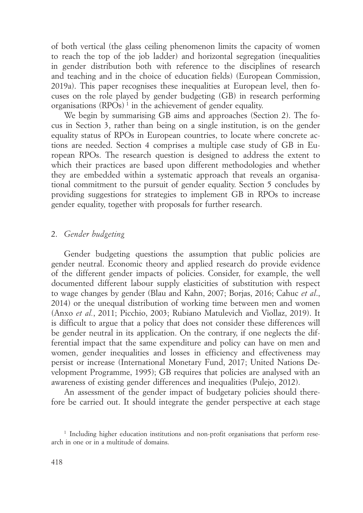of both vertical (the glass ceiling phenomenon limits the capacity of women to reach the top of the job ladder) and horizontal segregation (inequalities in gender distribution both with reference to the disciplines of research and teaching and in the choice of education fields) (European Commission, 2019a). This paper recognises these inequalities at European level, then focuses on the role played by gender budgeting (GB) in research performing organisations (RPOs) <sup>1</sup> in the achievement of gender equality.

We begin by summarising GB aims and approaches (Section 2). The focus in Section 3, rather than being on a single institution, is on the gender equality status of RPOs in European countries, to locate where concrete actions are needed. Section 4 comprises a multiple case study of GB in European RPOs. The research question is designed to address the extent to which their practices are based upon different methodologies and whether they are embedded within a systematic approach that reveals an organisational commitment to the pursuit of gender equality. Section 5 concludes by providing suggestions for strategies to implement GB in RPOs to increase gender equality, together with proposals for further research.

## 2. *Gender budgeting*

Gender budgeting questions the assumption that public policies are gender neutral. Economic theory and applied research do provide evidence of the different gender impacts of policies. Consider, for example, the well documented different labour supply elasticities of substitution with respect to wage changes by gender (Blau and Kahn, 2007; Borjas, 2016; Cahuc *et al*., 2014) or the unequal distribution of working time between men and women (Anxo *et al.*, 2011; Picchio, 2003; Rubiano Matulevich and Viollaz, 2019). It is difficult to argue that a policy that does not consider these differences will be gender neutral in its application. On the contrary, if one neglects the differential impact that the same expenditure and policy can have on men and women, gender inequalities and losses in efficiency and effectiveness may persist or increase (International Monetary Fund, 2017; United Nations Development Programme, 1995); GB requires that policies are analysed with an awareness of existing gender differences and inequalities (Pulejo, 2012).

An assessment of the gender impact of budgetary policies should therefore be carried out. It should integrate the gender perspective at each stage

<sup>&</sup>lt;sup>1</sup> Including higher education institutions and non-profit organisations that perform research in one or in a multitude of domains.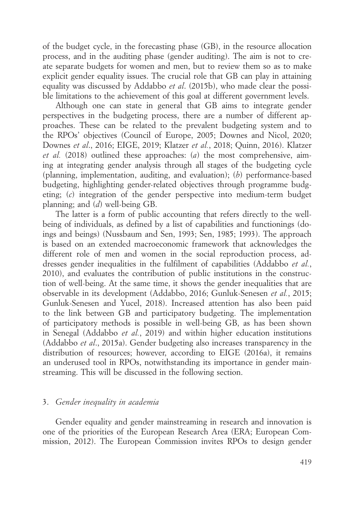of the budget cycle, in the forecasting phase (GB), in the resource allocation process, and in the auditing phase (gender auditing). The aim is not to create separate budgets for women and men, but to review them so as to make explicit gender equality issues. The crucial role that GB can play in attaining equality was discussed by Addabbo *et al*. (2015b), who made clear the possible limitations to the achievement of this goal at different government levels.

Although one can state in general that GB aims to integrate gender perspectives in the budgeting process, there are a number of different approaches. These can be related to the prevalent budgeting system and to the RPOs' objectives (Council of Europe, 2005; Downes and Nicol, 2020; Downes *et al*., 2016; EIGE, 2019; Klatzer *et al.*, 2018; Quinn, 2016). Klatzer *et al.* (2018) outlined these approaches: (*a*) the most comprehensive, aiming at integrating gender analysis through all stages of the budgeting cycle (planning, implementation, auditing, and evaluation); (*b*) performance-based budgeting, highlighting gender-related objectives through programme budgeting; (*c*) integration of the gender perspective into medium-term budget planning; and (*d*) well-being GB.

The latter is a form of public accounting that refers directly to the wellbeing of individuals, as defined by a list of capabilities and functionings (doings and beings) (Nussbaum and Sen, 1993; Sen, 1985; 1993). The approach is based on an extended macroeconomic framework that acknowledges the different role of men and women in the social reproduction process, addresses gender inequalities in the fulfilment of capabilities (Addabbo *et al.*, 2010), and evaluates the contribution of public institutions in the construction of well-being. At the same time, it shows the gender inequalities that are observable in its development (Addabbo, 2016; Gunluk-Senesen *et al.*, 2015; Gunluk-Senesen and Yucel, 2018). Increased attention has also been paid to the link between GB and participatory budgeting. The implementation of participatory methods is possible in well-being GB, as has been shown in Senegal (Addabbo *et al.*, 2019) and within higher education institutions (Addabbo *et al*., 2015a). Gender budgeting also increases transparency in the distribution of resources; however, according to EIGE (2016a), it remains an underused tool in RPOs, notwithstanding its importance in gender mainstreaming. This will be discussed in the following section.

# 3. *Gender inequality in academia*

Gender equality and gender mainstreaming in research and innovation is one of the priorities of the European Research Area (ERA; European Commission, 2012). The European Commission invites RPOs to design gender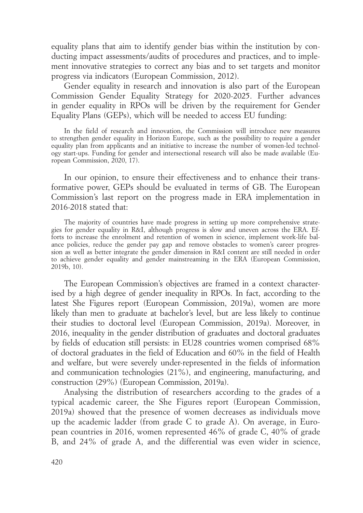equality plans that aim to identify gender bias within the institution by conducting impact assessments/audits of procedures and practices, and to implement innovative strategies to correct any bias and to set targets and monitor progress via indicators (European Commission, 2012).

Gender equality in research and innovation is also part of the European Commission Gender Equality Strategy for 2020-2025. Further advances in gender equality in RPOs will be driven by the requirement for Gender Equality Plans (GEPs), which will be needed to access EU funding:

In the field of research and innovation, the Commission will introduce new measures to strengthen gender equality in Horizon Europe, such as the possibility to require a gender equality plan from applicants and an initiative to increase the number of women-led technology start-ups. Funding for gender and intersectional research will also be made available (European Commission, 2020, 17).

In our opinion, to ensure their effectiveness and to enhance their transformative power, GEPs should be evaluated in terms of GB. The European Commission's last report on the progress made in ERA implementation in 2016-2018 stated that:

The majority of countries have made progress in setting up more comprehensive strategies for gender equality in R&I, although progress is slow and uneven across the ERA. Efforts to increase the enrolment and retention of women in science, implement work-life balance policies, reduce the gender pay gap and remove obstacles to women's career progression as well as better integrate the gender dimension in R&I content are still needed in order to achieve gender equality and gender mainstreaming in the ERA (European Commission, 2019b, 10).

The European Commission's objectives are framed in a context characterised by a high degree of gender inequality in RPOs. In fact, according to the latest She Figures report (European Commission, 2019a), women are more likely than men to graduate at bachelor's level, but are less likely to continue their studies to doctoral level (European Commission, 2019a). Moreover, in 2016, inequality in the gender distribution of graduates and doctoral graduates by fields of education still persists: in EU28 countries women comprised 68% of doctoral graduates in the field of Education and 60% in the field of Health and welfare, but were severely under-represented in the fields of information and communication technologies (21%), and engineering, manufacturing, and construction (29%) (European Commission, 2019a).

Analysing the distribution of researchers according to the grades of a typical academic career, the She Figures report (European Commission, 2019a) showed that the presence of women decreases as individuals move up the academic ladder (from grade C to grade A). On average, in European countries in 2016, women represented 46% of grade C, 40% of grade B, and 24% of grade A, and the differential was even wider in science,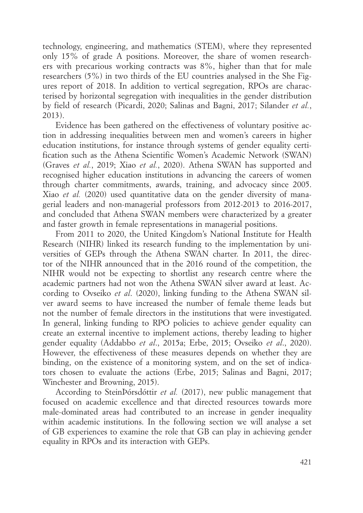technology, engineering, and mathematics (STEM), where they represented only 15% of grade A positions. Moreover, the share of women researchers with precarious working contracts was 8%, higher than that for male researchers (5%) in two thirds of the EU countries analysed in the She Figures report of 2018. In addition to vertical segregation, RPOs are characterised by horizontal segregation with inequalities in the gender distribution by field of research (Picardi, 2020; Salinas and Bagni, 2017; Silander *et al.*, 2013).

Evidence has been gathered on the effectiveness of voluntary positive action in addressing inequalities between men and women's careers in higher education institutions, for instance through systems of gender equality certification such as the Athena Scientific Women's Academic Network (SWAN) (Graves *et al.*, 2019; Xiao *et al.*, 2020). Athena SWAN has supported and recognised higher education institutions in advancing the careers of women through charter commitments, awards, training, and advocacy since 2005. Xiao *et al.* (2020) used quantitative data on the gender diversity of managerial leaders and non-managerial professors from 2012-2013 to 2016-2017, and concluded that Athena SWAN members were characterized by a greater and faster growth in female representations in managerial positions.

From 2011 to 2020, the United Kingdom's National Institute for Health Research (NIHR) linked its research funding to the implementation by universities of GEPs through the Athena SWAN charter. In 2011, the director of the NIHR announced that in the 2016 round of the competition, the NIHR would not be expecting to shortlist any research centre where the academic partners had not won the Athena SWAN silver award at least. According to Ovseiko *et al*. (2020), linking funding to the Athena SWAN silver award seems to have increased the number of female theme leads but not the number of female directors in the institutions that were investigated. In general, linking funding to RPO policies to achieve gender equality can create an external incentive to implement actions, thereby leading to higher gender equality (Addabbo *et al*., 2015a; Erbe, 2015; Ovseiko *et al*., 2020). However, the effectiveness of these measures depends on whether they are binding, on the existence of a monitoring system, and on the set of indicators chosen to evaluate the actions (Erbe, 2015; Salinas and Bagni, 2017; Winchester and Browning, 2015).

According to SteinÞórsdóttir *et al.* (2017), new public management that focused on academic excellence and that directed resources towards more male-dominated areas had contributed to an increase in gender inequality within academic institutions. In the following section we will analyse a set of GB experiences to examine the role that GB can play in achieving gender equality in RPOs and its interaction with GEPs.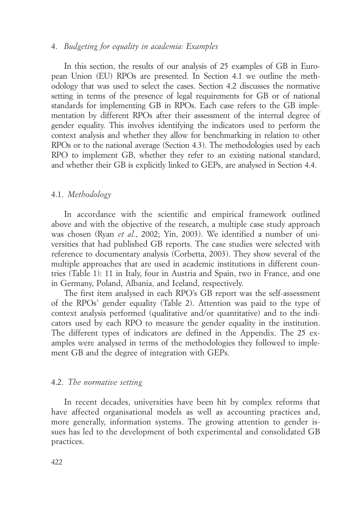#### 4. *Budgeting for equality in academia: Examples*

In this section, the results of our analysis of 25 examples of GB in European Union (EU) RPOs are presented. In Section 4.1 we outline the methodology that was used to select the cases. Section 4.2 discusses the normative setting in terms of the presence of legal requirements for GB or of national standards for implementing GB in RPOs. Each case refers to the GB implementation by different RPOs after their assessment of the internal degree of gender equality. This involves identifying the indicators used to perform the context analysis and whether they allow for benchmarking in relation to other RPOs or to the national average (Section 4.3). The methodologies used by each RPO to implement GB, whether they refer to an existing national standard, and whether their GB is explicitly linked to GEPs, are analysed in Section 4.4.

#### 4.1. *Methodology*

In accordance with the scientific and empirical framework outlined above and with the objective of the research, a multiple case study approach was chosen (Ryan *et al*., 2002; Yin, 2003). We identified a number of universities that had published GB reports. The case studies were selected with reference to documentary analysis (Corbetta, 2003). They show several of the multiple approaches that are used in academic institutions in different countries (Table 1): 11 in Italy, four in Austria and Spain, two in France, and one in Germany, Poland, Albania, and Iceland, respectively.

The first item analysed in each RPO's GB report was the self-assessment of the RPOs' gender equality (Table 2). Attention was paid to the type of context analysis performed (qualitative and/or quantitative) and to the indicators used by each RPO to measure the gender equality in the institution. The different types of indicators are defined in the Appendix. The 25 examples were analysed in terms of the methodologies they followed to implement GB and the degree of integration with GEPs.

#### 4.2. *The normative setting*

In recent decades, universities have been hit by complex reforms that have affected organisational models as well as accounting practices and, more generally, information systems. The growing attention to gender issues has led to the development of both experimental and consolidated GB practices.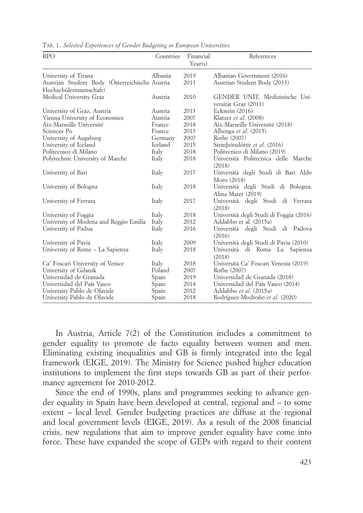| <b>RPO</b>                                     | Countries | Financial<br>Year(s) | References                                              |  |  |
|------------------------------------------------|-----------|----------------------|---------------------------------------------------------|--|--|
| University of Tirana                           | Albania   | 2019                 | Albanian Government (2016)                              |  |  |
| Austrian Student Body (Osterreichische Austria |           | 2011                 | Austrian Student Body (2013)                            |  |  |
| Hochschülerinnenschaft)                        |           |                      |                                                         |  |  |
| Medical University Graz                        | Austria   | 2010                 | GENDER UNIT, Medizinische Uni-<br>versität Graz (2011)  |  |  |
| University of Graz, Austria                    | Austria   | 2013                 | Eckstein (2016)                                         |  |  |
| Vienna University of Economics                 | Austria   | 2007                 | Klatzer et al. (2008)                                   |  |  |
| Aix-Marseille Université                       | France    | 2018                 | Aix-Marseille Université (2018)                         |  |  |
| Sciences Po                                    | France    | 2013                 | Albenga et al. (2015)                                   |  |  |
| University of Augsburg                         | Germany   | 2007                 | Rothe (2007)                                            |  |  |
| University of Iceland                          | Iceland   | 2015                 | Steinbórsdóttir et al. (2016)                           |  |  |
| Politecnico di Milano                          | Italy     | 2018                 | Politecnico di Milano (2019)                            |  |  |
| Polytechnic University of Marche               | Italy     | 2018                 | Università Politecnica delle Marche<br>(2018)           |  |  |
| University of Bari                             | Italy     | 2017                 | Università degli Studi di Bari Aldo<br>Moro (2018)      |  |  |
| University of Bologna                          | Italy     | 2018                 | Università degli Studi di Bologna,<br>Alma Mater (2019) |  |  |
| University of Ferrara                          | Italy     | 2017                 | Università degli Studi di Ferrara<br>(2018)             |  |  |
| University of Foggia                           | Italy     | 2018                 | Università degli Studi di Foggia (2016)                 |  |  |
| University of Modena and Reggio Emilia         | Italy     | 2012                 | Addabbo et al. (2015a)                                  |  |  |
| University of Padua                            | Italy     | 2016                 | Università degli Studi di Padova<br>(2016)              |  |  |
| University of Pavia                            | Italy     | 2009                 | Università degli Studi di Pavia (2010)                  |  |  |
| University of Rome - La Sapienza               | Italy     | 2018                 | Università di Roma La Sapienza<br>(2018)                |  |  |
| Ca' Foscari University of Venice               | Italy     | 2018                 | Università Ca' Foscari Venezia (2019)                   |  |  |
| University of Gdansk                           | Poland    | 2007                 | Rothe (2007)                                            |  |  |
| Universidad de Granada                         | Spain     | 2019                 | Universidad de Granada (2018)                           |  |  |
| Universidad del País Vasco                     | Spain     | 2014                 | Universidad del País Vasco (2014)                       |  |  |
| University Pablo de Olavide                    | Spain     | 2012                 | Addabbo et al. (2015a)                                  |  |  |
| University Pablo de Olavide                    | Spain     | 2018                 | Rodríguez-Modroño et al. (2020)                         |  |  |

Tab. 1. *Selected Experiences of Gender Budgeting in European Universities*

In Austria, Article 7(2) of the Constitution includes a commitment to gender equality to promote de facto equality between women and men. Eliminating existing inequalities and GB is firmly integrated into the legal framework (EIGE, 2019). The Ministry for Science pushed higher education institutions to implement the first steps towards GB as part of their performance agreement for 2010-2012.

Since the end of 1990s, plans and programmes seeking to advance gender equality in Spain have been developed at central, regional and – to some extent – local level. Gender budgeting practices are diffuse at the regional and local government levels (EIGE, 2019). As a result of the 2008 financial crisis, new regulations that aim to improve gender equality have come into force. These have expanded the scope of GEPs with regard to their content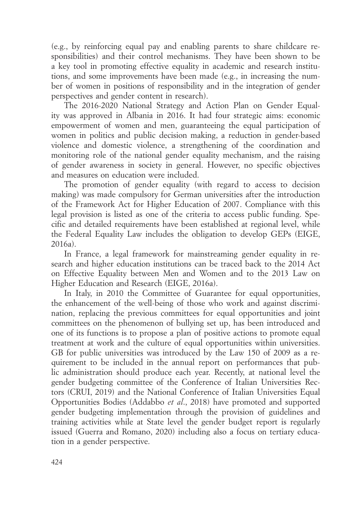(e.g., by reinforcing equal pay and enabling parents to share childcare responsibilities) and their control mechanisms. They have been shown to be a key tool in promoting effective equality in academic and research institutions, and some improvements have been made (e.g., in increasing the number of women in positions of responsibility and in the integration of gender perspectives and gender content in research).

The 2016-2020 National Strategy and Action Plan on Gender Equality was approved in Albania in 2016. It had four strategic aims: economic empowerment of women and men, guaranteeing the equal participation of women in politics and public decision making, a reduction in gender-based violence and domestic violence, a strengthening of the coordination and monitoring role of the national gender equality mechanism, and the raising of gender awareness in society in general. However, no specific objectives and measures on education were included.

The promotion of gender equality (with regard to access to decision making) was made compulsory for German universities after the introduction of the Framework Act for Higher Education of 2007. Compliance with this legal provision is listed as one of the criteria to access public funding. Specific and detailed requirements have been established at regional level, while the Federal Equality Law includes the obligation to develop GEPs (EIGE, 2016a).

In France, a legal framework for mainstreaming gender equality in research and higher education institutions can be traced back to the 2014 Act on Effective Equality between Men and Women and to the 2013 Law on Higher Education and Research (EIGE, 2016a).

In Italy, in 2010 the Committee of Guarantee for equal opportunities, the enhancement of the well-being of those who work and against discrimination, replacing the previous committees for equal opportunities and joint committees on the phenomenon of bullying set up, has been introduced and one of its functions is to propose a plan of positive actions to promote equal treatment at work and the culture of equal opportunities within universities. GB for public universities was introduced by the Law 150 of 2009 as a requirement to be included in the annual report on performances that public administration should produce each year. Recently, at national level the gender budgeting committee of the Conference of Italian Universities Rectors (CRUI, 2019) and the National Conference of Italian Universities Equal Opportunities Bodies (Addabbo *et al*., 2018) have promoted and supported gender budgeting implementation through the provision of guidelines and training activities while at State level the gender budget report is regularly issued (Guerra and Romano, 2020) including also a focus on tertiary education in a gender perspective.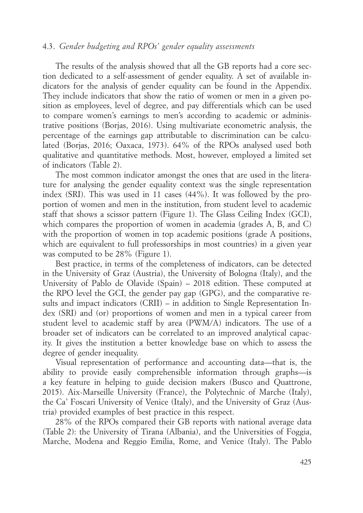# 4.3. *Gender budgeting and RPOs' gender equality assessments*

The results of the analysis showed that all the GB reports had a core section dedicated to a self-assessment of gender equality. A set of available indicators for the analysis of gender equality can be found in the Appendix. They include indicators that show the ratio of women or men in a given position as employees, level of degree, and pay differentials which can be used to compare women's earnings to men's according to academic or administrative positions (Borjas, 2016). Using multivariate econometric analysis, the percentage of the earnings gap attributable to discrimination can be calculated (Borjas, 2016; Oaxaca, 1973). 64% of the RPOs analysed used both qualitative and quantitative methods. Most, however, employed a limited set of indicators (Table 2).

The most common indicator amongst the ones that are used in the literature for analysing the gender equality context was the single representation index (SRI). This was used in 11 cases (44%). It was followed by the proportion of women and men in the institution, from student level to academic staff that shows a scissor pattern (Figure 1). The Glass Ceiling Index (GCI), which compares the proportion of women in academia (grades A, B, and C) with the proportion of women in top academic positions (grade A positions, which are equivalent to full professorships in most countries) in a given year was computed to be 28% (Figure 1).

Best practice, in terms of the completeness of indicators, can be detected in the University of Graz (Austria), the University of Bologna (Italy), and the University of Pablo de Olavide (Spain) – 2018 edition. These computed at the RPO level the GCI, the gender pay gap (GPG), and the comparative results and impact indicators (CRII) – in addition to Single Representation Index (SRI) and (or) proportions of women and men in a typical career from student level to academic staff by area (PWM/A) indicators. The use of a broader set of indicators can be correlated to an improved analytical capacity. It gives the institution a better knowledge base on which to assess the degree of gender inequality.

Visual representation of performance and accounting data—that is, the ability to provide easily comprehensible information through graphs—is a key feature in helping to guide decision makers (Busco and Quattrone, 2015). Aix-Marseille University (France), the Polytechnic of Marche (Italy), the Ca' Foscari University of Venice (Italy), and the University of Graz (Austria) provided examples of best practice in this respect.

28% of the RPOs compared their GB reports with national average data (Table 2): the University of Tirana (Albania), and the Universities of Foggia, Marche, Modena and Reggio Emilia, Rome, and Venice (Italy). The Pablo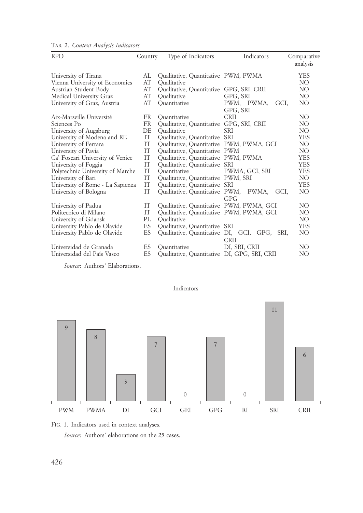| <b>RPO</b>                       | Country   | Type of Indicators                           | Indicators                                   | Comparative<br>analysis |
|----------------------------------|-----------|----------------------------------------------|----------------------------------------------|-------------------------|
| University of Tirana             | AL        | Qualitative, Quantitative PWM, PWMA          |                                              | <b>YES</b>              |
| Vienna University of Economics   | AT        | Oualitative                                  |                                              | NO.                     |
| Austrian Student Body            | AT        | Qualitative, Quantitative GPG, SRI, CRII     |                                              | NO.                     |
| Medical University Graz          | AT        | Oualitative                                  | GPG, SRI                                     | NO.                     |
| University of Graz, Austria      | AT        | Ouantitative                                 | PWM, PWMA,<br>GCI,                           | NO.                     |
|                                  |           |                                              | GPG, SRI                                     |                         |
| Aix-Marseille Université         | <b>FR</b> | Ouantitative                                 | <b>CRII</b>                                  | NO.                     |
| Sciences Po                      | <b>FR</b> | Qualitative, Quantitative GPG, SRI, CRII     |                                              | NO.                     |
| University of Augsburg           | DE        | Oualitative                                  | <b>SRI</b>                                   | NO.                     |
| University of Modena and RE      | IT        | Qualitative, Quantitative SRI                |                                              | <b>YES</b>              |
| University of Ferrara            | IT        | Qualitative, Quantitative PWM, PWMA, GCI     |                                              | NO                      |
| University of Pavia              | <b>IT</b> | Qualitative, Quantitative PWM                |                                              | NO.                     |
| Ca' Foscari University of Venice | IT        | Qualitative, Quantitative PWM, PWMA          |                                              | <b>YES</b>              |
| University of Foggia             | <b>IT</b> | Qualitative, Quantitative SRI                |                                              | <b>YES</b>              |
| Polytechnic University of Marche | IT        | Ouantitative                                 | PWMA, GCI, SRI                               | <b>YES</b>              |
| University of Bari               | <b>IT</b> | Qualitative, Quantitative PWM, SRI           |                                              | NO.                     |
| University of Rome - La Sapienza | <b>IT</b> | Qualitative, Quantitative SRI                |                                              | <b>YES</b>              |
| University of Bologna            | <b>TT</b> | Qualitative, Quantitative PWM, PWMA,         | GCI.                                         | NO.                     |
|                                  |           |                                              | GPG                                          |                         |
| University of Padua              | IT        | Qualitative, Quantitative PWM, PWMA, GCI     |                                              | NO.                     |
| Politecnico di Milano            | <b>IT</b> | Qualitative, Quantitative PWM, PWMA, GCI     |                                              | NO.                     |
| University of Gdansk             | PL        | Oualitative                                  |                                              | NO.                     |
| University Pablo de Olavide      | ES        | Qualitative, Quantitative SRI                |                                              | <b>YES</b>              |
| University Pablo de Olavide      | ES        |                                              | Qualitative, Quantitative DI, GCI, GPG, SRI, | NO.                     |
|                                  |           |                                              | <b>CRII</b>                                  |                         |
| Universidad de Granada           | ES        | Ouantitative                                 | DI. SRI. CRII                                | NO.                     |
| Universidad del País Vasco       | ES        | Qualitative, Quantitative DI, GPG, SRI, CRII |                                              | NO                      |

Tab. 2. *Context Analysis Indicators*

*Source*: Authors' Elaborations.





*Source*: Authors' elaborations on the 25 cases.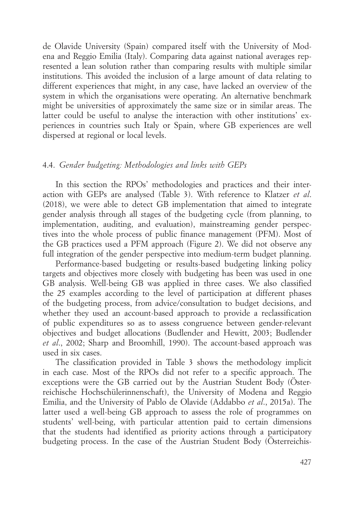de Olavide University (Spain) compared itself with the University of Modena and Reggio Emilia (Italy). Comparing data against national averages represented a lean solution rather than comparing results with multiple similar institutions. This avoided the inclusion of a large amount of data relating to different experiences that might, in any case, have lacked an overview of the system in which the organisations were operating. An alternative benchmark might be universities of approximately the same size or in similar areas. The latter could be useful to analyse the interaction with other institutions' experiences in countries such Italy or Spain, where GB experiences are well dispersed at regional or local levels.

# 4.4. *Gender budgeting: Methodologies and links with GEPs*

In this section the RPOs' methodologies and practices and their interaction with GEPs are analysed (Table 3). With reference to Klatzer *et al*. (2018), we were able to detect GB implementation that aimed to integrate gender analysis through all stages of the budgeting cycle (from planning, to implementation, auditing, and evaluation), mainstreaming gender perspectives into the whole process of public finance management (PFM). Most of the GB practices used a PFM approach (Figure 2). We did not observe any full integration of the gender perspective into medium-term budget planning.

Performance-based budgeting or results-based budgeting linking policy targets and objectives more closely with budgeting has been was used in one GB analysis. Well-being GB was applied in three cases. We also classified the 25 examples according to the level of participation at different phases of the budgeting process, from advice/consultation to budget decisions, and whether they used an account-based approach to provide a reclassification of public expenditures so as to assess congruence between gender-relevant objectives and budget allocations (Budlender and Hewitt, 2003; Budlender *et al*., 2002; Sharp and Broomhill, 1990). The account-based approach was used in six cases.

The classification provided in Table 3 shows the methodology implicit in each case. Most of the RPOs did not refer to a specific approach. The exceptions were the GB carried out by the Austrian Student Body (Österreichische Hochschülerinnenschaft), the University of Modena and Reggio Emilia, and the University of Pablo de Olavide (Addabbo *et al*., 2015a). The latter used a well-being GB approach to assess the role of programmes on students' well-being, with particular attention paid to certain dimensions that the students had identified as priority actions through a participatory budgeting process. In the case of the Austrian Student Body (Österreichis-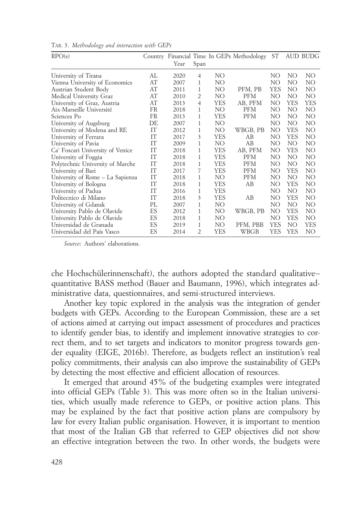| RPO(s)                           |           |      |                |            | Country Financial Time In GEPs Methodology | ST  |     | AUD BUDG        |
|----------------------------------|-----------|------|----------------|------------|--------------------------------------------|-----|-----|-----------------|
|                                  |           | Year | Span           |            |                                            |     |     |                 |
| University of Tirana             | AL        | 2020 | $\overline{4}$ | NO         |                                            | NO  | NO  | NO              |
| Vienna University of Economics   | AT        | 2007 | 1              | NO         |                                            | NO  | NO  | NO              |
| Austrian Student Body            | AT        | 2011 | 1              | NO         | PFM, PB                                    | YES | NO  | NO <sub>1</sub> |
| Medical University Graz          | AT        | 2010 | $\overline{2}$ | NO         | <b>PFM</b>                                 | NO. | NO  | NO              |
| University of Graz, Austria      | AT        | 2013 | 4              | YES        | AB, PFM                                    | NO  | YES | <b>YES</b>      |
| Aix-Marseille Université         | FR        | 2018 | 1              | NO         | <b>PFM</b>                                 | NO. | NO  | NO              |
| Sciences Po                      | <b>FR</b> | 2013 | $\mathbf{1}$   | YES        | <b>PFM</b>                                 | NO. | NO  | NO              |
| University of Augsburg           | DE        | 2007 | $\mathbf{1}$   | NO         |                                            | NO  | NO. | NO              |
| University of Modena and RE      | IT        | 2012 | 1              | NO.        | WBGB, PB                                   | NO  | YES | NO              |
| University of Ferrara            | IΤ        | 2017 | 3              | YES        | AB                                         | NO  | YES | NO              |
| University of Pavia              | IΤ        | 2009 | $\mathbf{1}$   | NO         | AB                                         | NO  | NO  | NO              |
| Ca' Foscari University of Venice | IT        | 2018 | $\mathbf{1}$   | <b>YES</b> | AB, PFM                                    | NO  | YES | NO              |
| University of Foggia             | IT        | 2018 | 1              | <b>YES</b> | <b>PFM</b>                                 | NO. | NO. | NO              |
| Polytechnic University of Marche | IT        | 2018 | 1              | <b>YES</b> | <b>PFM</b>                                 | NO. | NO  | NO <sub>1</sub> |
| University of Bari               | IT        | 2017 | 7              | YES        | <b>PFM</b>                                 | NO  | YES | NO              |
| University of Rome - La Sapienza | IT        | 2018 | $\mathbf{1}$   | NO         | <b>PFM</b>                                 | NO  | NO  | NO              |
| University of Bologna            | IT        | 2018 | $\mathbf{1}$   | YES        | AB                                         | NO  | YES | NO              |
| University of Padua              | IT        | 2016 | 1              | <b>YES</b> |                                            | NO. | NO. | NO              |
| Politecnico di Milano            | IΤ        | 2018 | 3              | YES        | AB                                         | NΟ  | YES | NO              |
| University of Gdansk             | PL        | 2007 | $\mathbf{1}$   | NO         |                                            | NO  | NO  | NO              |
| University Pablo de Olavide      | ES        | 2012 | 1              | NO         | WBGB, PB                                   | NO  | YES | NO              |
| University Pablo de Olavide      | ES        | 2018 | 1              | NO         |                                            | NO  | YES | NO.             |
| Universidad de Granada           | ES        | 2019 | 1              | NO.        | PFM, PBB                                   | YES | NO  | YES             |
| Universidad del País Vasco       | ES        | 2014 | $\overline{2}$ | YES        | WBGB                                       | YES | YES | NO              |

Tab. 3. *Methodology and interaction with GEPs*

*Source*: Authors' elaborations.

che Hochschülerinnenschaft), the authors adopted the standard qualitative− quantitative BASS method (Bauer and Baumann, 1996), which integrates administrative data, questionnaires, and semi-structured interviews.

Another key topic explored in the analysis was the integration of gender budgets with GEPs. According to the European Commission, these are a set of actions aimed at carrying out impact assessment of procedures and practices to identify gender bias, to identify and implement innovative strategies to correct them, and to set targets and indicators to monitor progress towards gender equality (EIGE, 2016b). Therefore, as budgets reflect an institution's real policy commitments, their analysis can also improve the sustainability of GEPs by detecting the most effective and efficient allocation of resources.

It emerged that around 45% of the budgeting examples were integrated into official GEPs (Table 3). This was more often so in the Italian universities, which usually made reference to GEPs, or positive action plans. This may be explained by the fact that positive action plans are compulsory by law for every Italian public organisation. However, it is important to mention that most of the Italian GB that referred to GEP objectives did not show an effective integration between the two. In other words, the budgets were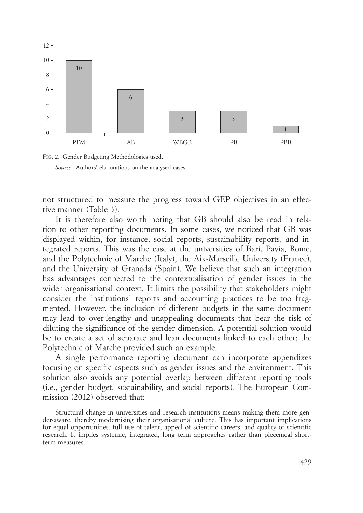



not structured to measure the progress toward GEP objectives in an effective manner (Table 3).

It is therefore also worth noting that GB should also be read in relation to other reporting documents. In some cases, we noticed that GB was displayed within, for instance, social reports, sustainability reports, and integrated reports. This was the case at the universities of Bari, Pavia, Rome, and the Polytechnic of Marche (Italy), the Aix-Marseille University (France), and the University of Granada (Spain). We believe that such an integration has advantages connected to the contextualisation of gender issues in the wider organisational context. It limits the possibility that stakeholders might consider the institutions' reports and accounting practices to be too fragmented. However, the inclusion of different budgets in the same document may lead to over-lengthy and unappealing documents that bear the risk of diluting the significance of the gender dimension. A potential solution would be to create a set of separate and lean documents linked to each other; the Polytechnic of Marche provided such an example.

A single performance reporting document can incorporate appendixes focusing on specific aspects such as gender issues and the environment. This solution also avoids any potential overlap between different reporting tools (i.e., gender budget, sustainability, and social reports). The European Commission (2012) observed that:

Structural change in universities and research institutions means making them more gender-aware, thereby modernising their organisational culture. This has important implications for equal opportunities, full use of talent, appeal of scientific careers, and quality of scientific research. It implies systemic, integrated, long term approaches rather than piecemeal shortterm measures.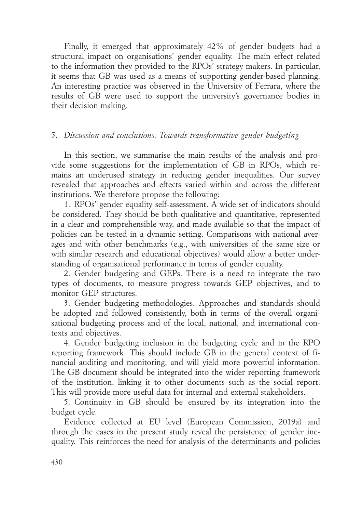Finally, it emerged that approximately 42% of gender budgets had a structural impact on organisations' gender equality. The main effect related to the information they provided to the RPOs' strategy makers. In particular, it seems that GB was used as a means of supporting gender-based planning. An interesting practice was observed in the University of Ferrara, where the results of GB were used to support the university's governance bodies in their decision making.

# 5. *Discussion and conclusions: Towards transformative gender budgeting*

In this section, we summarise the main results of the analysis and provide some suggestions for the implementation of GB in RPOs, which remains an underused strategy in reducing gender inequalities. Our survey revealed that approaches and effects varied within and across the different institutions. We therefore propose the following:

1. RPOs' gender equality self-assessment. A wide set of indicators should be considered. They should be both qualitative and quantitative, represented in a clear and comprehensible way, and made available so that the impact of policies can be tested in a dynamic setting. Comparisons with national averages and with other benchmarks (e.g., with universities of the same size or with similar research and educational objectives) would allow a better understanding of organisational performance in terms of gender equality.

2. Gender budgeting and GEPs. There is a need to integrate the two types of documents, to measure progress towards GEP objectives, and to monitor GEP structures.

3. Gender budgeting methodologies. Approaches and standards should be adopted and followed consistently, both in terms of the overall organisational budgeting process and of the local, national, and international contexts and objectives.

4. Gender budgeting inclusion in the budgeting cycle and in the RPO reporting framework. This should include GB in the general context of financial auditing and monitoring, and will yield more powerful information. The GB document should be integrated into the wider reporting framework of the institution, linking it to other documents such as the social report. This will provide more useful data for internal and external stakeholders.

5. Continuity in GB should be ensured by its integration into the budget cycle.

Evidence collected at EU level (European Commission, 2019a) and through the cases in the present study reveal the persistence of gender inequality. This reinforces the need for analysis of the determinants and policies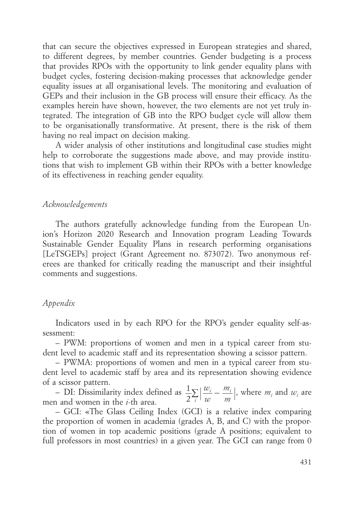that can secure the objectives expressed in European strategies and shared, to different degrees, by member countries. Gender budgeting is a process that provides RPOs with the opportunity to link gender equality plans with budget cycles, fostering decision-making processes that acknowledge gender equality issues at all organisational levels. The monitoring and evaluation of GEPs and their inclusion in the GB process will ensure their efficacy. As the examples herein have shown, however, the two elements are not yet truly integrated. The integration of GB into the RPO budget cycle will allow them to be organisationally transformative. At present, there is the risk of them having no real impact on decision making.

A wider analysis of other institutions and longitudinal case studies might help to corroborate the suggestions made above, and may provide institutions that wish to implement GB within their RPOs with a better knowledge of its effectiveness in reaching gender equality.

#### *Acknowledgements*

The authors gratefully acknowledge funding from the European Union's Horizon 2020 Research and Innovation program Leading Towards Sustainable Gender Equality Plans in research performing organisations [LeTSGEPs] project (Grant Agreement no. 873072). Two anonymous referees are thanked for critically reading the manuscript and their insightful comments and suggestions.

# *Appendix*

Indicators used in by each RPO for the RPO's gender equality self-assessment:

– PWM: proportions of women and men in a typical career from student level to academic staff and its representation showing a scissor pattern.

– PWMA: proportions of women and men in a typical career from student level to academic staff by area and its representation showing evidence of a scissor pattern.

– DI: Dissimilarity index defined as *w w m m* 2  $1\sqrt{w_i-m_i}$  $\sum_{i} \left| \frac{w_i}{w} - \frac{m_i}{m} \right|$ , where  $m_i$  and  $w_i$  are men and women in the *i*-th area.

– GCI: «The Glass Ceiling Index (GCI) is a relative index comparing the proportion of women in academia (grades A, B, and C) with the proportion of women in top academic positions (grade A positions; equivalent to full professors in most countries) in a given year. The GCI can range from 0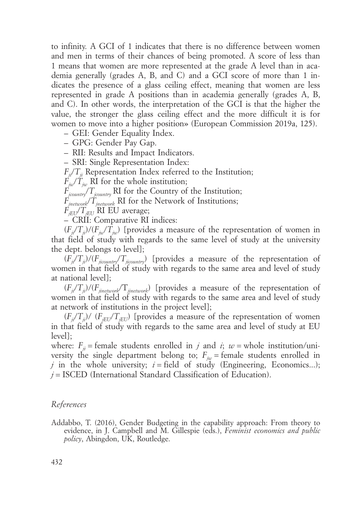to infinity. A GCI of 1 indicates that there is no difference between women and men in terms of their chances of being promoted. A score of less than 1 means that women are more represented at the grade A level than in academia generally (grades A, B, and C) and a GCI score of more than 1 indicates the presence of a glass ceiling effect, meaning that women are less represented in grade A positions than in academia generally (grades A, B, and C). In other words, the interpretation of the GCI is that the higher the value, the stronger the glass ceiling effect and the more difficult it is for women to move into a higher position» (European Commission 2019a, 125).

– GEI: Gender Equality Index.

– GPG: Gender Pay Gap.

– RII: Results and Impact Indicators.

– SRI: Single Representation Index:

 $F_{ii}/T_{ii}$  Representation Index referred to the Institution;

 $F_{\hat{i}\hat{i}\hat{j}}/\hat{T}_{\hat{i}\hat{k}}$  RI for the whole institution;

*Fjcountry*/*Tjcountry* RI for the Country of the Institution;

*Fjnetwork*/*Tjnetwork* RI for the Network of Institutions;

 $F_{iEU}$ <sup>T</sup> $T_{iEU}$ <sup>RI EU</sup> average;

– CRII: Comparative RI indices:

 $(F_i/T_i)/(F_{i\nu}/T_{i\nu})$  [provides a measure of the representation of women in that field of study with regards to the same level of study at the university the dept. belongs to level];

 $(F_i/T_{ii})/(F_{iicountry}/T_{iicountry})$  [provides a measure of the representation of women in that field of study with regards to the same area and level of study at national level];

 $(F_{ji}/T_{ji})/(F_{jinterwork}/T_{jinterwork})$  [provides a measure of the representation of women in that field of study with regards to the same area and level of study at network of institutions in the project level];

 $(F_i/T_i)/ (F_{iEU}/T_{iEU})$  [provides a measure of the representation of women in that field of study with regards to the same area and level of study at EU level];

where:  $F_{ij}$  = female students enrolled in *j* and *i*; *w* = whole institution/university the single department belong to;  $F_{iw}$  = female students enrolled in *j* in the whole university;  $i =$  field of study (Engineering, Economics...); *j* = ISCED (International Standard Classification of Education).

## *References*

Addabbo, T. (2016), Gender Budgeting in the capability approach: From theory to evidence, in J. Campbell and M. Gillespie (eds.), *Feminist economics and public policy*, Abingdon, UK, Routledge.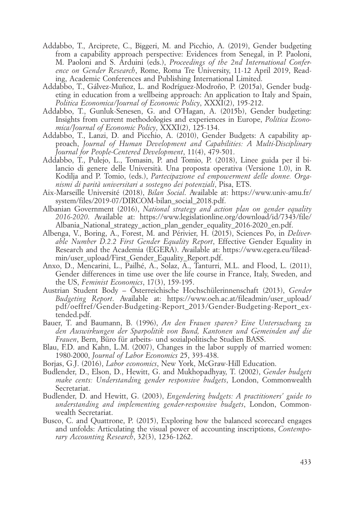- Addabbo, T., Arciprete, C., Biggeri, M. and Picchio, A. (2019), Gender budgeting from a capability approach perspective: Evidences from Senegal, in P. Paoloni, M. Paoloni and S. Arduini (eds.), *Proceedings of the 2nd International Conference on Gender Research*, Rome, Roma Tre University, 11-12 April 2019, Reading, Academic Conferences and Publishing International Limited.
- Addabbo, T., Gálvez-Muñoz, L. and Rodríguez-Modroño, P. (2015a), Gender budgeting in education from a wellbeing approach: An application to Italy and Spain, *Politica Economica/Journal of Economic Policy*, XXXI(2), 195-212.
- Addabbo, T., Gunluk-Senesen, G. and O'Hagan, A. (2015b), Gender budgeting: Insights from current methodologies and experiences in Europe, *Politica Economica/Journal of Economic Policy*, XXXI(2), 125-134.
- Addabbo, T., Lanzi, D. and Picchio, A. (2010), Gender Budgets: A capability approach, *Journal of Human Development and Capabilities: A Multi-Disciplinary Journal for People-Centered Development*, 11(4), 479-501.
- Addabbo, T., Pulejo, L., Tomasin, P. and Tomio, P. (2018), Linee guida per il bilancio di genere delle Università. Una proposta operativa (Versione 1.0), in R. Kodilja and P. Tomio, (eds.), *Partecipazione ed empowerment delle donne. Organismi di parità universitari a sostegno dei potenziali*, Pisa, ETS.
- Aix-Marseille Université (2018), *Bilan Social*. Available at: https://www.univ-amu.fr/ system/files/2019-07/DIRCOM-bilan\_social\_2018.pdf.
- Albanian Government (2016), *National strategy and action plan on gender equality 2016-2020*. Available at: https://www.legislationline.org/download/id/7343/file/ Albania National strategy\_action\_plan\_gender\_equality\_2016-2020\_en.pdf.
- Albenga, V., Boring, A., Forest, M. and Périvier, H. (2015), Sciences Po, in *Deliverable Number D.2.2 First Gender Equality Report*, Effective Gender Equality in Research and the Academia (EGERA). Available at: https://www.egera.eu/fileadmin/user\_upload/First\_Gender\_Equality\_Report.pdf.
- Anxo, D., Mencarini, L., Pailhé, A., Solaz, A., Tanturri, M.L. and Flood, L. (2011), Gender differences in time use over the life course in France, Italy, Sweden, and the US, *Feminist Economics*, 17(3), 159-195.
- Austrian Student Body Österreichische Hochschülerinnenschaft (2013), *Gender Budgeting Report*. Available at: https://www.oeh.ac.at/fileadmin/user\_upload/ pdf/oeffref/Gender-Budgeting-Report\_2013/Gender-Budgeting-Report\_extended.pdf.
- Bauer, T. and Baumann, B. (1996), *An den Frauen sparen? Eine Untersuchung zu den Auswirkungen der Sparpolitik von Bund, Kantonen und Gemeinden auf die Frauen*, Bern, Büro für arbeits- und sozialpolitische Studien BASS.
- Blau, F.D. and Kahn, L.M. (2007), Changes in the labor supply of married women: 1980-2000, *Journal of Labor Economics* 25, 393-438.
- Borjas, G.J. (2016), *Labor economics*, New York, McGraw-Hill Education.
- Budlender, D., Elson, D., Hewitt, G. and Mukhopadhyay, T. (2002), *Gender budgets make cents: Understanding gender responsive budgets*, London, Commonwealth Secretariat.
- Budlender, D. and Hewitt, G. (2003), *Engendering budgets: A practitioners' guide to understanding and implementing gender-responsive budgets*, London, Commonwealth Secretariat.
- Busco, C. and Quattrone, P. (2015), Exploring how the balanced scorecard engages and unfolds: Articulating the visual power of accounting inscriptions, *Contemporary Accounting Research*, 32(3), 1236-1262.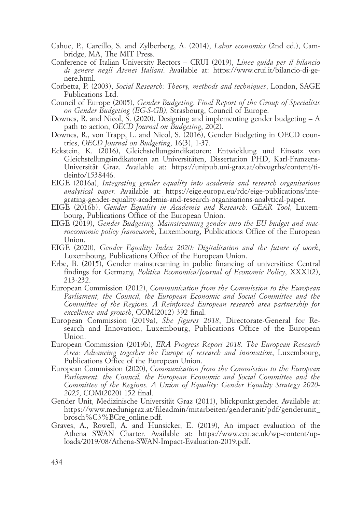- Cahuc, P., Carcillo, S. and Zylberberg, A. (2014), *Labor economics* (2nd ed.), Cambridge, MA, The MIT Press.
- Conference of Italian University Rectors CRUI (2019), *Linee guida per il bilancio di genere negli Atenei Italiani*. Available at: https://www.crui.it/bilancio-di-genere.html.
- Corbetta, P. (2003), *Social Research: Theory, methods and techniques*, London, SAGE Publications Ltd.
- Council of Europe (2005), *Gender Budgeting. Final Report of the Group of Specialists on Gender Budgeting (EG-S-GB)*, Strasbourg, Council of Europe.
- Downes, R. and Nicol, S. (2020), Designing and implementing gender budgeting A path to action, *OECD Journal on Budgeting*, 20(2).
- Downes, R., von Trapp, L. and Nicol, S. (2016), Gender Budgeting in OECD countries, *OECD Journal on Budgeting*, 16(3), 1-37.
- Eckstein, K. (2016), Gleichstellungsindikatoren: Entwicklung und Einsatz von Gleichstellungsindikatoren an Universitäten, Dissertation PHD, Karl-Franzens-Universität Graz. Available at: https://unipub.uni-graz.at/obvugrhs/content/titleinfo/1538446.
- EIGE (2016a), *Integrating gender equality into academia and research organisations analytical paper.* Available at: https://eige.europa.eu/rdc/eige-publications/integrating-gender-equality-academia-and-research-organisations-analytical-paper.
- EIGE (2016b), *Gender Equality in Academia and Research: GEAR Tool*, Luxembourg, Publications Office of the European Union.
- EIGE (2019), *Gender Budgeting. Mainstreaming gender into the EU budget and macroeconomic policy framework*, Luxembourg, Publications Office of the European Union.
- EIGE (2020), *Gender Equality Index 2020: Digitalisation and the future of work*, Luxembourg, Publications Office of the European Union.
- Erbe, B. (2015), Gender mainstreaming in public financing of universities: Central findings for Germany, *Politica Economica/Journal of Economic Policy*, XXXI(2), 213-232.
- European Commission (2012), *Communication from the Commission to the European Parliament, the Council, the European Economic and Social Committee and the Committee of the Regions. A Reinforced European research area partnership for excellence and growth*, COM(2012) 392 final.
- European Commission (2019a), *She figures 2018*, Directorate-General for Research and Innovation, Luxembourg, Publications Office of the European Union.
- European Commission (2019b), *ERA Progress Report 2018. The European Research Area: Advancing together the Europe of research and innovation*, Luxembourg, Publications Office of the European Union.
- European Commission (2020), *Communication from the Commission to the European Parliament, the Council, the European Economic and Social Committee and the Committee of the Regions. A Union of Equality: Gender Equality Strategy 2020- 2025*, COM(2020) 152 final.
- Gender Unit, Medizinische Universität Graz (2011), blickpunkt:gender. Available at: https://www.medunigraz.at/fileadmin/mitarbeiten/genderunit/pdf/genderunit\_ brosch%C3%BCre\_online.pdf.
- Graves, A., Rowell, A. and Hunsicker, E. (2019), An impact evaluation of the Athena SWAN Charter. Available at: https://www.ecu.ac.uk/wp-content/uploads/2019/08/Athena-SWAN-Impact-Evaluation-2019.pdf.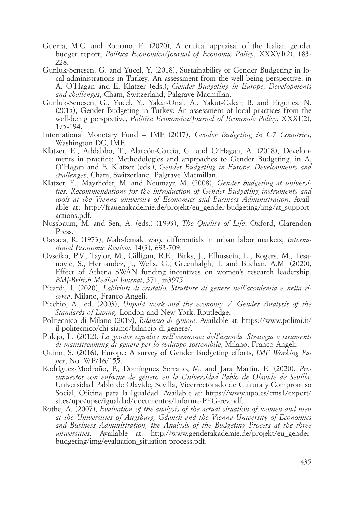- Guerra, M.C. and Romano, E. (2020), A critical appraisal of the Italian gender budget report, *Politica Economica/Journal of Economic Policy*, XXXVI(2), 183- 228.
- Gunluk-Senesen, G. and Yucel, Y. (2018), Sustainability of Gender Budgeting in local administrations in Turkey: An assessment from the well-being perspective, in A. O'Hagan and E. Klatzer (eds.), *Gender Budgeting in Europe. Developments and challenges*, Cham, Switzerland, Palgrave Macmillan.
- Gunluk-Senesen, G., Yucel, Y., Yakar-Onal, A., Yakut-Cakar, B. and Ergunes, N. (2015), Gender Budgeting in Turkey: An assessment of local practices from the well-being perspective, *Politica Economica/Journal of Economic Policy*, XXXI(2), 175-194.
- International Monetary Fund IMF (2017), *Gender Budgeting in G7 Countries*, Washington DC, IMF.
- Klatzer, E., Addabbo, T., Alarcón-García, G. and O'Hagan, A. (2018), Developments in practice: Methodologies and approaches to Gender Budgeting, in A. O'Hagan and E. Klatzer (eds.), *Gender Budgeting in Europe. Developments and challenges*, Cham, Switzerland, Palgrave Macmillan.
- Klatzer, E., Mayrhofer, M. and Neumayr, M. (2008), *Gender budgeting at universities. Recommendations for the introduction of Gender Budgeting instruments and tools at the Vienna university of Economics and Business Administration*. Available at: http://frauenakademie.de/projekt/eu\_gender-budgeting/img/at\_supportactions.pdf.
- Nussbaum, M. and Sen, A. (eds.) (1993), *The Quality of Life*, Oxford, Clarendon Press.
- Oaxaca, R. (1973), Male-female wage differentials in urban labor markets, *International Economic Review*, 14(3), 693-709.
- Ovseiko, P.V., Taylor, M., Gilligan, R.E., Birks, J., Elhussein, L., Rogers, M., Tesanovic, S., Hernandez, J., Wells, G., Greenhalgh, T. and Buchan, A.M. (2020), Effect of Athena SWAN funding incentives on women's research leadership, *BMJ-British Medical Journal*, 371, m3975.
- Picardi, I. (2020), *Labirinti di cristallo. Strutture di genere nell'accademia e nella ricerca*, Milano, Franco Angeli.
- Picchio, A., ed. (2003), *Unpaid work and the economy. A Gender Analysis of the Standards of Living*, London and New York, Routledge.
- Politecnico di Milano (2019), *Bilancio di genere*. Available at: https://www.polimi.it/ il-politecnico/chi-siamo/bilancio-di-genere/.
- Pulejo, L. (2012), *La gender equality nell'economia dell'azienda. Strategia e strumenti di mainstreaming di genere per lo sviluppo sostenibile*, Milano, Franco Angeli.
- Quinn, S. (2016), Europe: A survey of Gender Budgeting efforts, *IMF Working Paper*, No. WP/16/155.
- Rodríguez-Modroño, P., Domínguez Serrano, M. and Jara Martín, E. (2020), *Presupuestos con enfoque de género en la Universidad Pablo de Olavide de Sevilla*, Universidad Pablo de Olavide, Sevilla, Vicerrectorado de Cultura y Compromiso Social, Oficina para la Igualdad. Available at: https://www.upo.es/cms1/export/ sites/upo/upsc/igualdad/documentos/Informe-PEG-rev.pdf.
- Rothe, A. (2007), *Evaluation of the analysis of the actual situation of women and men at the Universities of Augsburg, Gdansk and the Vienna University of Economics and Business Administration, the Analysis of the Budgeting Process at the three universities*. Available at: http://www.genderakademie.de/projekt/eu\_genderbudgeting/img/evaluation\_situation-process.pdf.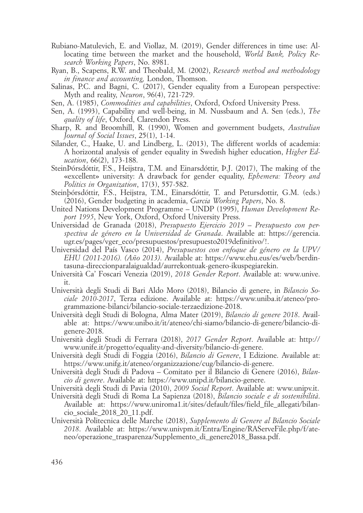- Rubiano-Matulevich, E. and Viollaz, M. (2019), Gender differences in time use: Allocating time between the market and the household, *World Bank, Policy Research Working Papers*, No. 8981.
- Ryan, B., Scapens, R.W. and Theobald, M. (2002), *Research method and methodology in finance and accounting,* London, Thomson.
- Salinas, P.C. and Bagni, C. (2017), Gender equality from a European perspective: Myth and reality, *Neuron*, 96(4), 721-729.
- Sen, A. (1985), *Commodities and capabilities*, Oxford, Oxford University Press.
- Sen, A. (1993), Capability and well-being, in M. Nussbaum and A. Sen (eds.), *The quality of life*, Oxford, Clarendon Press.
- Sharp, R. and Broomhill, R. (1990), Women and government budgets, *Australian Journal of Social Issues*, 25(1), 1-14.
- Silander, C., Haake, U. and Lindberg, L. (2013), The different worlds of academia: A horizontal analysis of gender equality in Swedish higher education, *Higher Education*, 66(2), 173-188.
- SteinÞórsdóttir, F.S., Heijstra, T.M. and Einarsdóttir, Þ.J. (2017), The making of the «excellent» university: A drawback for gender equality, *Ephemera: Theory and Politics in Organization*, 17(3), 557-582.
- Steinþórsdóttir, F.S., Heijstra, T.M., Einarsdóttir, T. and Petursdottir, G.M. (eds.) (2016), Gender budgeting in academia, *Garcia Working Papers*, No. 8.
- United Nations Development Programme UNDP (1995), *Human Development Report 1995*, New York, Oxford, Oxford University Press.
- Universidad de Granada (2018), *Presupuesto Ejercicio 2019 Presupuesto con perspectiva de género en la Universidad de Granada*. Available at: https://gerencia. ugr.es/pages/vger\_eco/presupuestos/presupuesto2019definitivo/!.
- Universidad del País Vasco (2014), *Presupuestos con enfoque de género en la UPV/ EHU (2011-2016). (Año 2013)*. Available at: https://www.ehu.eus/es/web/berdintasuna-direccionparalaigualdad/aurrekontuak-genero-ikuspegiarekin.
- Università Ca' Foscari Venezia (2019), *2018 Gender Report*. Available at: www.unive. it.
- Università degli Studi di Bari Aldo Moro (2018), Bilancio di genere, in *Bilancio Sociale 2010-2017*, Terza edizione. Available at: https://www.uniba.it/ateneo/programmazione-bilanci/bilancio-sociale-terzaedizione-2018.
- Università degli Studi di Bologna, Alma Mater (2019), *Bilancio di genere 2018*. Available at: https://www.unibo.it/it/ateneo/chi-siamo/bilancio-di-genere/bilancio-digenere-2018.
- Università degli Studi di Ferrara (2018), *2017 Gender Report*. Available at: http:// www.unife.it/progetto/equality-and-diversity/bilancio-di-genere.
- Università degli Studi di Foggia (2016), *Bilancio di Genere*, I Edizione. Available at: https://www.unifg.it/ateneo/organizzazione/cug/bilancio-di-genere.
- Università degli Studi di Padova Comitato per il Bilancio di Genere (2016), *Bilancio di genere*. Available at: https://www.unipd.it/bilancio-genere.
- Università degli Studi di Pavia (2010), *2009 Social Report*. Available at: www.unipv.it.
- Università degli Studi di Roma La Sapienza (2018), *Bilancio sociale e di sostenibilità*. Available at: https://www.uniroma1.it/sites/default/files/field\_file\_allegati/bilancio\_sociale\_2018\_20\_11.pdf.
- Università Politecnica delle Marche (2018), *Supplemento di Genere al Bilancio Sociale 2018*. Available at: https://www.univpm.it/Entra/Engine/RAServeFile.php/f/ateneo/operazione trasparenza/Supplemento di genere2018 Bassa.pdf.